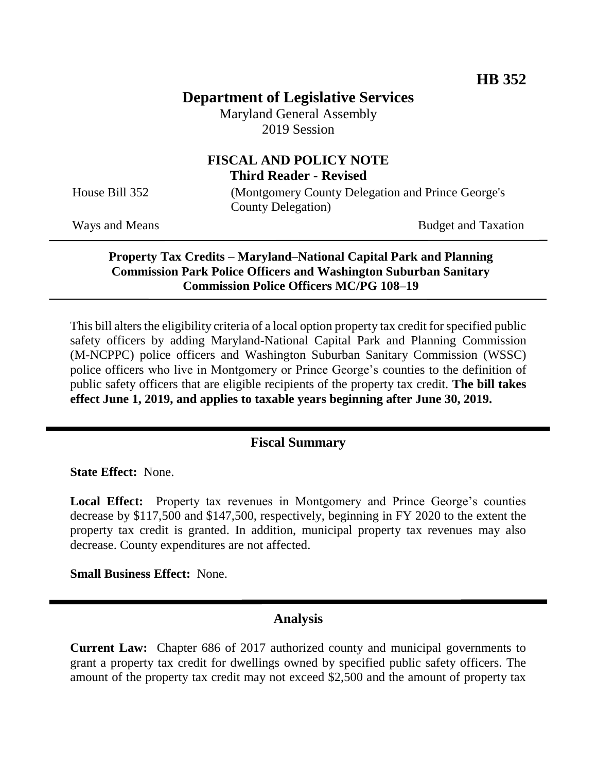# **Department of Legislative Services**

Maryland General Assembly 2019 Session

# **FISCAL AND POLICY NOTE Third Reader - Revised**

House Bill 352 (Montgomery County Delegation and Prince George's County Delegation)

Ways and Means Budget and Taxation

#### **Property Tax Credits – Maryland–National Capital Park and Planning Commission Park Police Officers and Washington Suburban Sanitary Commission Police Officers MC/PG 108–19**

This bill alters the eligibility criteria of a local option property tax credit for specified public safety officers by adding Maryland-National Capital Park and Planning Commission (M-NCPPC) police officers and Washington Suburban Sanitary Commission (WSSC) police officers who live in Montgomery or Prince George's counties to the definition of public safety officers that are eligible recipients of the property tax credit. **The bill takes effect June 1, 2019, and applies to taxable years beginning after June 30, 2019.**

## **Fiscal Summary**

**State Effect:** None.

Local Effect: Property tax revenues in Montgomery and Prince George's counties decrease by \$117,500 and \$147,500, respectively, beginning in FY 2020 to the extent the property tax credit is granted. In addition, municipal property tax revenues may also decrease. County expenditures are not affected.

**Small Business Effect:** None.

#### **Analysis**

**Current Law:** Chapter 686 of 2017 authorized county and municipal governments to grant a property tax credit for dwellings owned by specified public safety officers. The amount of the property tax credit may not exceed \$2,500 and the amount of property tax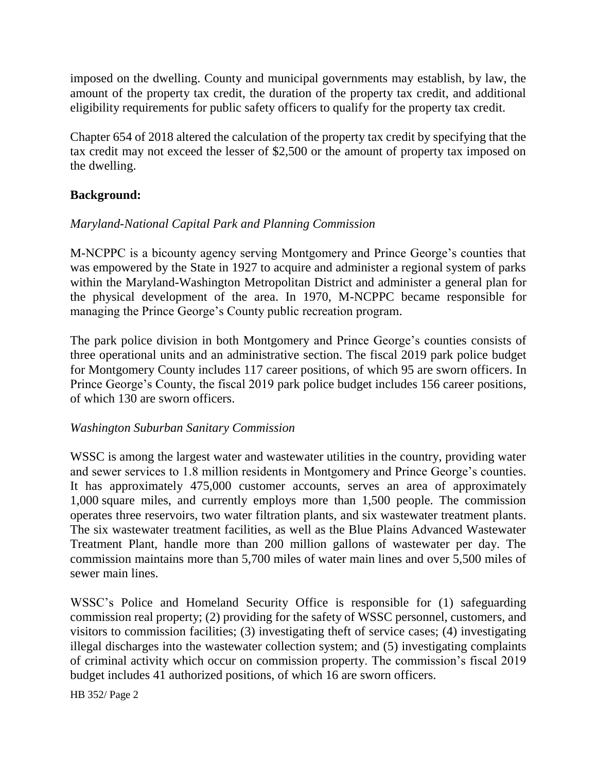imposed on the dwelling. County and municipal governments may establish, by law, the amount of the property tax credit, the duration of the property tax credit, and additional eligibility requirements for public safety officers to qualify for the property tax credit.

Chapter 654 of 2018 altered the calculation of the property tax credit by specifying that the tax credit may not exceed the lesser of \$2,500 or the amount of property tax imposed on the dwelling.

### **Background:**

### *Maryland-National Capital Park and Planning Commission*

M-NCPPC is a bicounty agency serving Montgomery and Prince George's counties that was empowered by the State in 1927 to acquire and administer a regional system of parks within the Maryland-Washington Metropolitan District and administer a general plan for the physical development of the area. In 1970, M-NCPPC became responsible for managing the Prince George's County public recreation program.

The park police division in both Montgomery and Prince George's counties consists of three operational units and an administrative section. The fiscal 2019 park police budget for Montgomery County includes 117 career positions, of which 95 are sworn officers. In Prince George's County, the fiscal 2019 park police budget includes 156 career positions, of which 130 are sworn officers.

#### *Washington Suburban Sanitary Commission*

WSSC is among the largest water and wastewater utilities in the country, providing water and sewer services to 1.8 million residents in Montgomery and Prince George's counties. It has approximately 475,000 customer accounts, serves an area of approximately 1,000 square miles, and currently employs more than 1,500 people. The commission operates three reservoirs, two water filtration plants, and six wastewater treatment plants. The six wastewater treatment facilities, as well as the Blue Plains Advanced Wastewater Treatment Plant, handle more than 200 million gallons of wastewater per day. The commission maintains more than 5,700 miles of water main lines and over 5,500 miles of sewer main lines.

WSSC's Police and Homeland Security Office is responsible for (1) safeguarding commission real property; (2) providing for the safety of WSSC personnel, customers, and visitors to commission facilities; (3) investigating theft of service cases; (4) investigating illegal discharges into the wastewater collection system; and (5) investigating complaints of criminal activity which occur on commission property. The commission's fiscal 2019 budget includes 41 authorized positions, of which 16 are sworn officers.

HB 352/ Page 2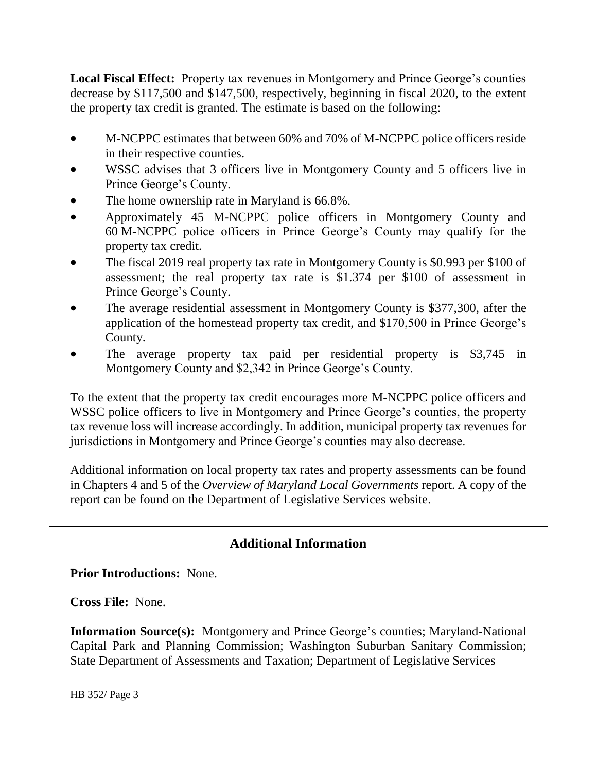**Local Fiscal Effect:** Property tax revenues in Montgomery and Prince George's counties decrease by \$117,500 and \$147,500, respectively, beginning in fiscal 2020, to the extent the property tax credit is granted. The estimate is based on the following:

- M-NCPPC estimates that between 60% and 70% of M-NCPPC police officers reside in their respective counties.
- WSSC advises that 3 officers live in Montgomery County and 5 officers live in Prince George's County.
- The home ownership rate in Maryland is 66.8%.
- Approximately 45 M-NCPPC police officers in Montgomery County and 60 M-NCPPC police officers in Prince George's County may qualify for the property tax credit.
- The fiscal 2019 real property tax rate in Montgomery County is \$0.993 per \$100 of assessment; the real property tax rate is \$1.374 per \$100 of assessment in Prince George's County.
- The average residential assessment in Montgomery County is \$377,300, after the application of the homestead property tax credit, and \$170,500 in Prince George's County.
- The average property tax paid per residential property is \$3,745 in Montgomery County and \$2,342 in Prince George's County.

To the extent that the property tax credit encourages more M-NCPPC police officers and WSSC police officers to live in Montgomery and Prince George's counties, the property tax revenue loss will increase accordingly. In addition, municipal property tax revenues for jurisdictions in Montgomery and Prince George's counties may also decrease.

Additional information on local property tax rates and property assessments can be found in Chapters 4 and 5 of the *Overview of Maryland Local Governments* report. A copy of the report can be found on the Department of Legislative Services website.

# **Additional Information**

**Prior Introductions:** None.

**Cross File:** None.

**Information Source(s):** Montgomery and Prince George's counties; Maryland-National Capital Park and Planning Commission; Washington Suburban Sanitary Commission; State Department of Assessments and Taxation; Department of Legislative Services